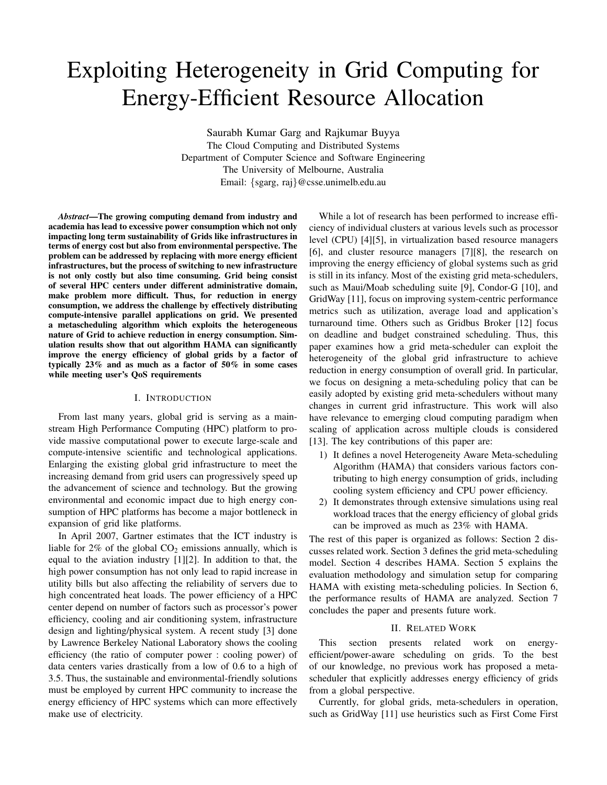# Exploiting Heterogeneity in Grid Computing for Energy-Efficient Resource Allocation

Saurabh Kumar Garg and Rajkumar Buyya The Cloud Computing and Distributed Systems Department of Computer Science and Software Engineering The University of Melbourne, Australia Email: {sgarg, raj}@csse.unimelb.edu.au

*Abstract*—The growing computing demand from industry and academia has lead to excessive power consumption which not only impacting long term sustainability of Grids like infrastructures in terms of energy cost but also from environmental perspective. The problem can be addressed by replacing with more energy efficient infrastructures, but the process of switching to new infrastructure is not only costly but also time consuming. Grid being consist of several HPC centers under different administrative domain, make problem more difficult. Thus, for reduction in energy consumption, we address the challenge by effectively distributing compute-intensive parallel applications on grid. We presented a metascheduling algorithm which exploits the heterogeneous nature of Grid to achieve reduction in energy consumption. Simulation results show that out algorithm HAMA can significantly improve the energy efficiency of global grids by a factor of typically 23% and as much as a factor of 50% in some cases while meeting user's QoS requirements

# I. INTRODUCTION

From last many years, global grid is serving as a mainstream High Performance Computing (HPC) platform to provide massive computational power to execute large-scale and compute-intensive scientific and technological applications. Enlarging the existing global grid infrastructure to meet the increasing demand from grid users can progressively speed up the advancement of science and technology. But the growing environmental and economic impact due to high energy consumption of HPC platforms has become a major bottleneck in expansion of grid like platforms.

In April 2007, Gartner estimates that the ICT industry is liable for  $2\%$  of the global  $CO<sub>2</sub>$  emissions annually, which is equal to the aviation industry [1][2]. In addition to that, the high power consumption has not only lead to rapid increase in utility bills but also affecting the reliability of servers due to high concentrated heat loads. The power efficiency of a HPC center depend on number of factors such as processor's power efficiency, cooling and air conditioning system, infrastructure design and lighting/physical system. A recent study [3] done by Lawrence Berkeley National Laboratory shows the cooling efficiency (the ratio of computer power : cooling power) of data centers varies drastically from a low of 0.6 to a high of 3.5. Thus, the sustainable and environmental-friendly solutions must be employed by current HPC community to increase the energy efficiency of HPC systems which can more effectively make use of electricity.

While a lot of research has been performed to increase efficiency of individual clusters at various levels such as processor level (CPU) [4][5], in virtualization based resource managers [6], and cluster resource managers [7][8], the research on improving the energy efficiency of global systems such as grid is still in its infancy. Most of the existing grid meta-schedulers, such as Maui/Moab scheduling suite [9], Condor-G [10], and GridWay [11], focus on improving system-centric performance metrics such as utilization, average load and application's turnaround time. Others such as Gridbus Broker [12] focus on deadline and budget constrained scheduling. Thus, this paper examines how a grid meta-scheduler can exploit the heterogeneity of the global grid infrastructure to achieve reduction in energy consumption of overall grid. In particular, we focus on designing a meta-scheduling policy that can be easily adopted by existing grid meta-schedulers without many changes in current grid infrastructure. This work will also have relevance to emerging cloud computing paradigm when scaling of application across multiple clouds is considered [13]. The key contributions of this paper are:

- 1) It defines a novel Heterogeneity Aware Meta-scheduling Algorithm (HAMA) that considers various factors contributing to high energy consumption of grids, including cooling system efficiency and CPU power efficiency.
- 2) It demonstrates through extensive simulations using real workload traces that the energy efficiency of global grids can be improved as much as 23% with HAMA.

The rest of this paper is organized as follows: Section 2 discusses related work. Section 3 defines the grid meta-scheduling model. Section 4 describes HAMA. Section 5 explains the evaluation methodology and simulation setup for comparing HAMA with existing meta-scheduling policies. In Section 6, the performance results of HAMA are analyzed. Section 7 concludes the paper and presents future work.

## II. RELATED WORK

This section presents related work on energyefficient/power-aware scheduling on grids. To the best of our knowledge, no previous work has proposed a metascheduler that explicitly addresses energy efficiency of grids from a global perspective.

Currently, for global grids, meta-schedulers in operation, such as GridWay [11] use heuristics such as First Come First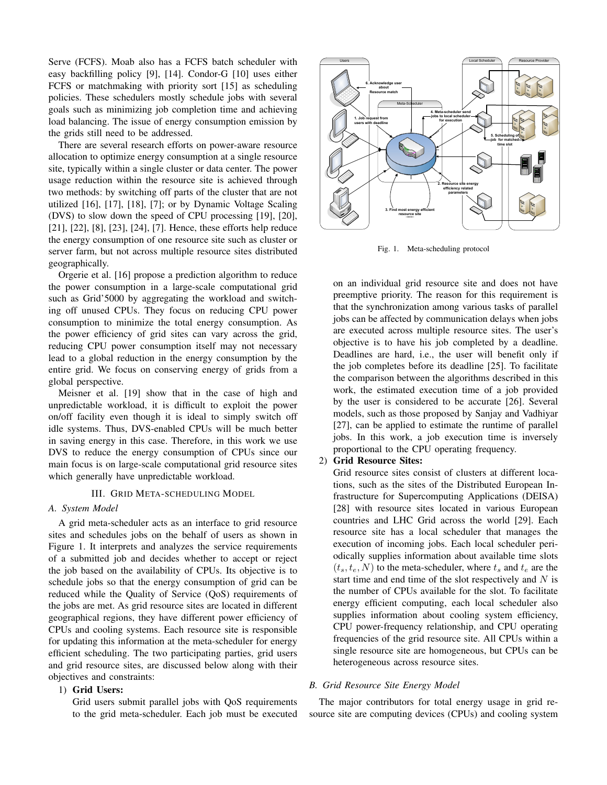Serve (FCFS). Moab also has a FCFS batch scheduler with easy backfilling policy [9], [14]. Condor-G [10] uses either FCFS or matchmaking with priority sort [15] as scheduling policies. These schedulers mostly schedule jobs with several goals such as minimizing job completion time and achieving load balancing. The issue of energy consumption emission by the grids still need to be addressed.

There are several research efforts on power-aware resource allocation to optimize energy consumption at a single resource site, typically within a single cluster or data center. The power usage reduction within the resource site is achieved through two methods: by switching off parts of the cluster that are not utilized [16], [17], [18], [7]; or by Dynamic Voltage Scaling (DVS) to slow down the speed of CPU processing [19], [20], [21], [22], [8], [23], [24], [7]. Hence, these efforts help reduce the energy consumption of one resource site such as cluster or server farm, but not across multiple resource sites distributed geographically.

Orgerie et al. [16] propose a prediction algorithm to reduce the power consumption in a large-scale computational grid such as Grid'5000 by aggregating the workload and switching off unused CPUs. They focus on reducing CPU power consumption to minimize the total energy consumption. As the power efficiency of grid sites can vary across the grid, reducing CPU power consumption itself may not necessary lead to a global reduction in the energy consumption by the entire grid. We focus on conserving energy of grids from a global perspective.

Meisner et al. [19] show that in the case of high and unpredictable workload, it is difficult to exploit the power on/off facility even though it is ideal to simply switch off idle systems. Thus, DVS-enabled CPUs will be much better in saving energy in this case. Therefore, in this work we use DVS to reduce the energy consumption of CPUs since our main focus is on large-scale computational grid resource sites which generally have unpredictable workload.

# III. GRID META-SCHEDULING MODEL

# *A. System Model*

A grid meta-scheduler acts as an interface to grid resource sites and schedules jobs on the behalf of users as shown in Figure 1. It interprets and analyzes the service requirements of a submitted job and decides whether to accept or reject the job based on the availability of CPUs. Its objective is to schedule jobs so that the energy consumption of grid can be reduced while the Quality of Service (QoS) requirements of the jobs are met. As grid resource sites are located in different geographical regions, they have different power efficiency of CPUs and cooling systems. Each resource site is responsible for updating this information at the meta-scheduler for energy efficient scheduling. The two participating parties, grid users and grid resource sites, are discussed below along with their objectives and constraints: 1 o slow down the speed of CPU processing [19], [20], [20], [20], [20], [20], [20], [21], [21], [21], [21], [21], [21], [21], [21], [21], [21], [21], [21], [21], [21], [21], [21], [21], [21], [21] mete, these efforts help

# 1) Grid Users:

Grid users submit parallel jobs with QoS requirements



Fig. 1. Meta-scheduling protocol

on an individual grid resource site and does not have preemptive priority. The reason for this requirement is that the synchronization among various tasks of parallel jobs can be affected by communication delays when jobs are executed across multiple resource sites. The user's objective is to have his job completed by a deadline. Deadlines are hard, i.e., the user will benefit only if the job completes before its deadline [25]. To facilitate the comparison between the algorithms described in this work, the estimated execution time of a job provided by the user is considered to be accurate [26]. Several models, such as those proposed by Sanjay and Vadhiyar [27], can be applied to estimate the runtime of parallel jobs. In this work, a job execution time is inversely proportional to the CPU operating frequency.

## 2) Grid Resource Sites:

Grid resource sites consist of clusters at different locations, such as the sites of the Distributed European Infrastructure for Supercomputing Applications (DEISA) [28] with resource sites located in various European countries and LHC Grid across the world [29]. Each resource site has a local scheduler that manages the execution of incoming jobs. Each local scheduler periodically supplies information about available time slots  $(t_s, t_e, N)$  to the meta-scheduler, where  $t_s$  and  $t_e$  are the start time and end time of the slot respectively and  $N$  is the number of CPUs available for the slot. To facilitate energy efficient computing, each local scheduler also supplies information about cooling system efficiency, CPU power-frequency relationship, and CPU operating frequencies of the grid resource site. All CPUs within a single resource site are homogeneous, but CPUs can be heterogeneous across resource sites.

# *B. Grid Resource Site Energy Model*

The major contributors for total energy usage in grid resource site are computing devices (CPUs) and cooling system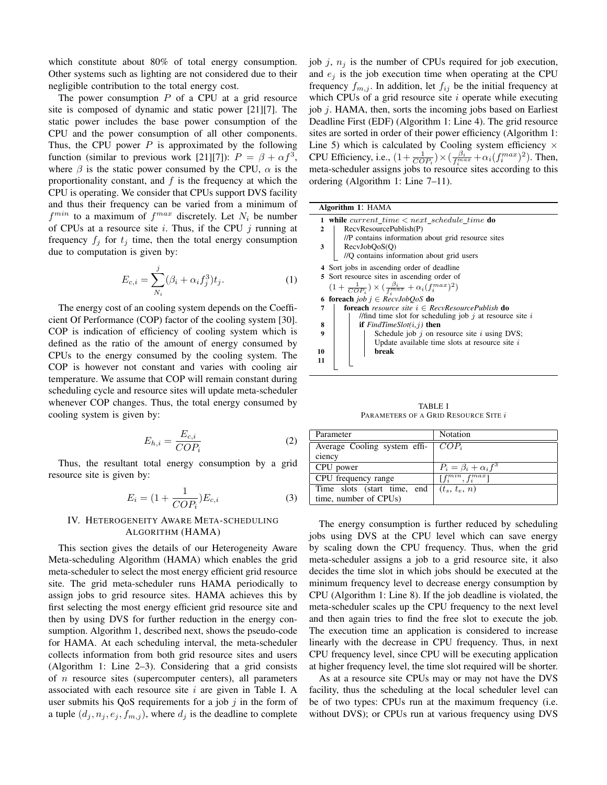which constitute about 80% of total energy consumption. Other systems such as lighting are not considered due to their negligible contribution to the total energy cost.

The power consumption  $P$  of a CPU at a grid resource site is composed of dynamic and static power [21][7]. The static power includes the base power consumption of the CPU and the power consumption of all other components. Thus, the CPU power  $P$  is approximated by the following function (similar to previous work [21][7]):  $P = \beta + \alpha f^3$ , where  $\beta$  is the static power consumed by the CPU,  $\alpha$  is the proportionality constant, and  $f$  is the frequency at which the CPU is operating. We consider that CPUs support DVS facility and thus their frequency can be varied from a minimum of  $f^{min}$  to a maximum of  $f^{max}$  discretely. Let  $N_i$  be number of CPUs at a resource site  $i$ . Thus, if the CPU  $j$  running at frequency  $f_i$  for  $t_i$  time, then the total energy consumption due to computation is given by:

$$
E_{c,i} = \sum_{N_i}^{j} (\beta_i + \alpha_i f_j^3) t_j.
$$
 (1)

The energy cost of an cooling system depends on the Coefficient Of Performance (COP) factor of the cooling system [30]. COP is indication of efficiency of cooling system which is defined as the ratio of the amount of energy consumed by CPUs to the energy consumed by the cooling system. The COP is however not constant and varies with cooling air temperature. We assume that COP will remain constant during scheduling cycle and resource sites will update meta-scheduler whenever COP changes. Thus, the total energy consumed by cooling system is given by:

$$
E_{h,i} = \frac{E_{c,i}}{COP_i} \tag{2}
$$

Thus, the resultant total energy consumption by a grid resource site is given by:

$$
E_i = (1 + \frac{1}{COP_i})E_{c,i} \tag{3}
$$

# IV. HETEROGENEITY AWARE META-SCHEDULING ALGORITHM (HAMA)

This section gives the details of our Heterogeneity Aware Meta-scheduling Algorithm (HAMA) which enables the grid meta-scheduler to select the most energy efficient grid resource site. The grid meta-scheduler runs HAMA periodically to assign jobs to grid resource sites. HAMA achieves this by first selecting the most energy efficient grid resource site and then by using DVS for further reduction in the energy consumption. Algorithm 1, described next, shows the pseudo-code for HAMA. At each scheduling interval, the meta-scheduler collects information from both grid resource sites and users (Algorithm 1: Line 2–3). Considering that a grid consists of  $n$  resource sites (supercomputer centers), all parameters associated with each resource site  $i$  are given in Table I. A user submits his QoS requirements for a job  $j$  in the form of a tuple  $(d_j, n_j, e_j, f_{m,j})$ , where  $d_j$  is the deadline to complete job j,  $n_i$  is the number of CPUs required for job execution, and  $e_i$  is the job execution time when operating at the CPU frequency  $f_{m,j}$ . In addition, let  $f_{ij}$  be the initial frequency at which CPUs of a grid resource site  $i$  operate while executing job j. HAMA, then, sorts the incoming jobs based on Earliest Deadline First (EDF) (Algorithm 1: Line 4). The grid resource sites are sorted in order of their power efficiency (Algorithm 1: Line 5) which is calculated by Cooling system efficiency  $\times$ CPU Efficiency, i.e.,  $(1 + \frac{1}{COP_i}) \times (\frac{\beta_i}{f_i^{max}} + \alpha_i (f_i^{max})^2)$ . Then, meta-scheduler assigns jobs to resource sites according to this ordering (Algorithm 1: Line 7–11).

| Algorithm 1: HAMA                                                            |                                                              |  |  |  |  |  |  |
|------------------------------------------------------------------------------|--------------------------------------------------------------|--|--|--|--|--|--|
| while current time $\lt$ next schedule time do                               |                                                              |  |  |  |  |  |  |
| $\mathbf{2}$                                                                 | RecvResourcePublish(P)                                       |  |  |  |  |  |  |
|                                                                              | //P contains information about grid resource sites           |  |  |  |  |  |  |
| 3                                                                            | RecvJobQoS(Q)                                                |  |  |  |  |  |  |
|                                                                              | //Q contains information about grid users                    |  |  |  |  |  |  |
| Sort jobs in ascending order of deadline<br>4                                |                                                              |  |  |  |  |  |  |
|                                                                              | 5 Sort resource sites in ascending order of                  |  |  |  |  |  |  |
| $(1+\frac{1}{COP_i})\times(\frac{\beta_i}{f_i^{max}}+\alpha_i(f_i^{max})^2)$ |                                                              |  |  |  |  |  |  |
|                                                                              | <b>foreach</b> job $j \in RecvJobQoS$ <b>do</b>              |  |  |  |  |  |  |
| 7                                                                            | <b>foreach</b> resource site $i \in RecvResourcePublished$   |  |  |  |  |  |  |
|                                                                              | //find time slot for scheduling job $j$ at resource site $i$ |  |  |  |  |  |  |
| 8                                                                            | <b>if</b> $FindTimeSlot(i, j)$ then                          |  |  |  |  |  |  |
| $\boldsymbol{9}$                                                             | Schedule job $j$ on resource site $i$ using DVS;             |  |  |  |  |  |  |
|                                                                              | Update available time slots at resource site $i$             |  |  |  |  |  |  |
| 10                                                                           | break                                                        |  |  |  |  |  |  |
| 11                                                                           |                                                              |  |  |  |  |  |  |
|                                                                              |                                                              |  |  |  |  |  |  |

TABLE I PARAMETERS OF A GRID RESOURCE SITE  $i$ 

| Parameter                            | Notation                            |  |  |
|--------------------------------------|-------------------------------------|--|--|
| Average Cooling system effi- $COP_i$ |                                     |  |  |
| ciency                               |                                     |  |  |
| CPU power                            | $P_i = \beta_i + \alpha_i f^3$      |  |  |
| CPU frequency range                  | $\left[f_i^{min}, f_i^{max}\right]$ |  |  |
| Time slots (start time, end          | $(t_s, t_e, n)$                     |  |  |
| time, number of CPUs)                |                                     |  |  |

The energy consumption is further reduced by scheduling jobs using DVS at the CPU level which can save energy by scaling down the CPU frequency. Thus, when the grid meta-scheduler assigns a job to a grid resource site, it also decides the time slot in which jobs should be executed at the minimum frequency level to decrease energy consumption by CPU (Algorithm 1: Line 8). If the job deadline is violated, the meta-scheduler scales up the CPU frequency to the next level and then again tries to find the free slot to execute the job. The execution time an application is considered to increase linearly with the decrease in CPU frequency. Thus, in next CPU frequency level, since CPU will be executing application at higher frequency level, the time slot required will be shorter.

As at a resource site CPUs may or may not have the DVS facility, thus the scheduling at the local scheduler level can be of two types: CPUs run at the maximum frequency (i.e. without DVS); or CPUs run at various frequency using DVS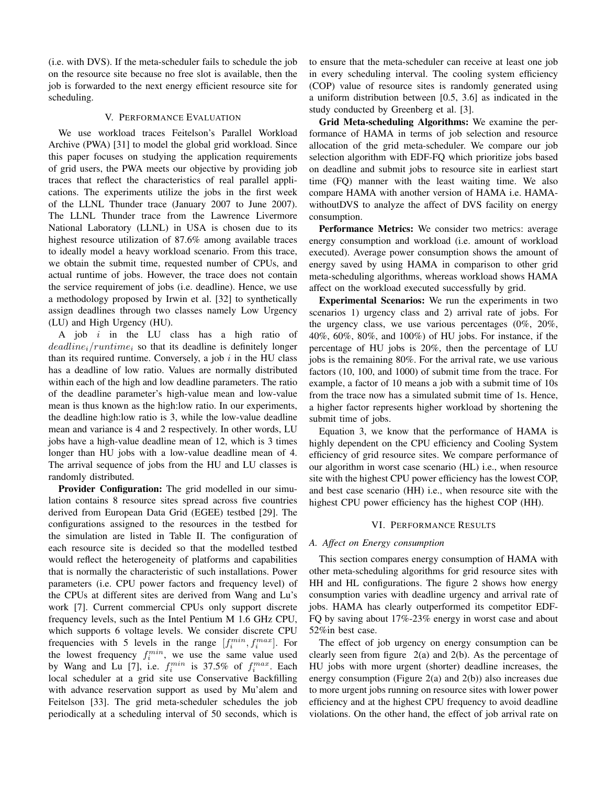(i.e. with DVS). If the meta-scheduler fails to schedule the job on the resource site because no free slot is available, then the job is forwarded to the next energy efficient resource site for scheduling.

## V. PERFORMANCE EVALUATION

We use workload traces Feitelson's Parallel Workload Archive (PWA) [31] to model the global grid workload. Since this paper focuses on studying the application requirements of grid users, the PWA meets our objective by providing job traces that reflect the characteristics of real parallel applications. The experiments utilize the jobs in the first week of the LLNL Thunder trace (January 2007 to June 2007). The LLNL Thunder trace from the Lawrence Livermore National Laboratory (LLNL) in USA is chosen due to its highest resource utilization of 87.6% among available traces to ideally model a heavy workload scenario. From this trace, we obtain the submit time, requested number of CPUs, and actual runtime of jobs. However, the trace does not contain the service requirement of jobs (i.e. deadline). Hence, we use a methodology proposed by Irwin et al. [32] to synthetically assign deadlines through two classes namely Low Urgency (LU) and High Urgency (HU).

A job  $i$  in the LU class has a high ratio of  $deadline_i$  / runtime<sub>i</sub> so that its deadline is definitely longer than its required runtime. Conversely, a job  $i$  in the HU class has a deadline of low ratio. Values are normally distributed within each of the high and low deadline parameters. The ratio of the deadline parameter's high-value mean and low-value mean is thus known as the high:low ratio. In our experiments, the deadline high:low ratio is 3, while the low-value deadline mean and variance is 4 and 2 respectively. In other words, LU jobs have a high-value deadline mean of 12, which is 3 times longer than HU jobs with a low-value deadline mean of 4. The arrival sequence of jobs from the HU and LU classes is randomly distributed.

Provider Configuration: The grid modelled in our simulation contains 8 resource sites spread across five countries derived from European Data Grid (EGEE) testbed [29]. The configurations assigned to the resources in the testbed for the simulation are listed in Table II. The configuration of each resource site is decided so that the modelled testbed would reflect the heterogeneity of platforms and capabilities that is normally the characteristic of such installations. Power parameters (i.e. CPU power factors and frequency level) of the CPUs at different sites are derived from Wang and Lu's work [7]. Current commercial CPUs only support discrete frequency levels, such as the Intel Pentium M 1.6 GHz CPU, which supports 6 voltage levels. We consider discrete CPU frequencies with 5 levels in the range  $[f_i^{min}, f_i^{max}]$ . For the lowest frequency  $f_i^{min}$ , we use the same value used by Wang and Lu [7], i.e.  $f_i^{min}$  is 37.5% of  $f_i^{max}$ . Each local scheduler at a grid site use Conservative Backfilling with advance reservation support as used by Mu'alem and Feitelson [33]. The grid meta-scheduler schedules the job periodically at a scheduling interval of 50 seconds, which is to ensure that the meta-scheduler can receive at least one job in every scheduling interval. The cooling system efficiency (COP) value of resource sites is randomly generated using a uniform distribution between [0.5, 3.6] as indicated in the study conducted by Greenberg et al. [3].

Grid Meta-scheduling Algorithms: We examine the performance of HAMA in terms of job selection and resource allocation of the grid meta-scheduler. We compare our job selection algorithm with EDF-FQ which prioritize jobs based on deadline and submit jobs to resource site in earliest start time (FQ) manner with the least waiting time. We also compare HAMA with another version of HAMA i.e. HAMAwithoutDVS to analyze the affect of DVS facility on energy consumption.

Performance Metrics: We consider two metrics: average energy consumption and workload (i.e. amount of workload executed). Average power consumption shows the amount of energy saved by using HAMA in comparison to other grid meta-scheduling algorithms, whereas workload shows HAMA affect on the workload executed successfully by grid.

Experimental Scenarios: We run the experiments in two scenarios 1) urgency class and 2) arrival rate of jobs. For the urgency class, we use various percentages (0%, 20%, 40%, 60%, 80%, and 100%) of HU jobs. For instance, if the percentage of HU jobs is 20%, then the percentage of LU jobs is the remaining 80%. For the arrival rate, we use various factors (10, 100, and 1000) of submit time from the trace. For example, a factor of 10 means a job with a submit time of 10s from the trace now has a simulated submit time of 1s. Hence, a higher factor represents higher workload by shortening the submit time of jobs.

Equation 3, we know that the performance of HAMA is highly dependent on the CPU efficiency and Cooling System efficiency of grid resource sites. We compare performance of our algorithm in worst case scenario (HL) i.e., when resource site with the highest CPU power efficiency has the lowest COP, and best case scenario (HH) i.e., when resource site with the highest CPU power efficiency has the highest COP (HH).

## VI. PERFORMANCE RESULTS

# *A. Affect on Energy consumption*

This section compares energy consumption of HAMA with other meta-scheduling algorithms for grid resource sites with HH and HL configurations. The figure 2 shows how energy consumption varies with deadline urgency and arrival rate of jobs. HAMA has clearly outperformed its competitor EDF-FQ by saving about 17%-23% energy in worst case and about 52%in best case.

The effect of job urgency on energy consumption can be clearly seen from figure 2(a) and 2(b). As the percentage of HU jobs with more urgent (shorter) deadline increases, the energy consumption (Figure 2(a) and 2(b)) also increases due to more urgent jobs running on resource sites with lower power efficiency and at the highest CPU frequency to avoid deadline violations. On the other hand, the effect of job arrival rate on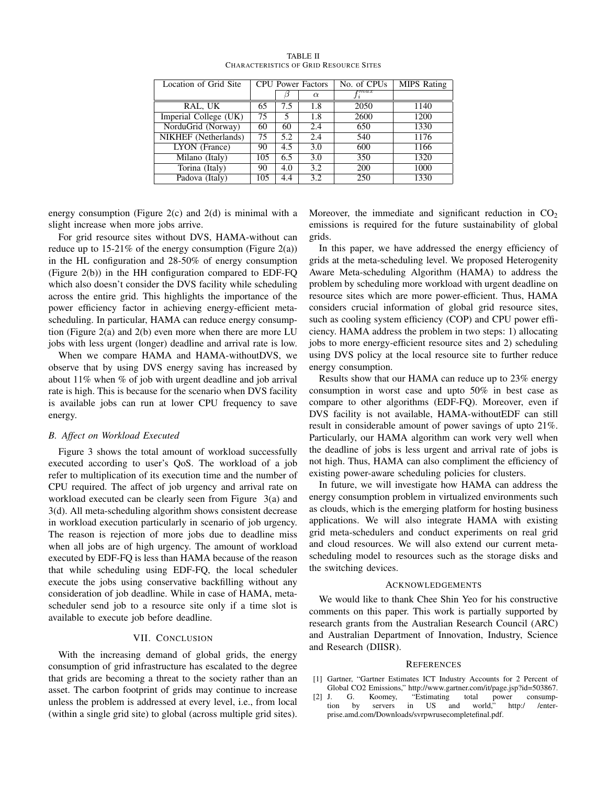| Location of Grid Site | <b>CPU</b> Power Factors |     |          | No. of CPUs            | <b>MIPS</b> Rating |
|-----------------------|--------------------------|-----|----------|------------------------|--------------------|
|                       |                          |     | $\alpha$ | $_{\boldsymbol{r}max}$ |                    |
| RAL, UK               | 65                       | 7.5 | 1.8      | 2050                   | 1140               |
| Imperial College (UK) | 75                       | 5   | 1.8      | 2600                   | 1200               |
| NorduGrid (Norway)    | 60                       | 60  | 2.4      | 650                    | 1330               |
| NIKHEF (Netherlands)  | 75                       | 5.2 | 2.4      | 540                    | 1176               |
| LYON (France)         | 90                       | 4.5 | 3.0      | 600                    | 1166               |
| Milano (Italy)        | 105                      | 6.5 | 3.0      | 350                    | 1320               |
| Torina (Italy)        | 90                       | 4.0 | 3.2      | 200                    | 1000               |
| Padova (Italy)        | 105                      | 4.4 | 3.2      | 250                    | 1330               |

TABLE II CHARACTERISTICS OF GRID RESOURCE SITES

energy consumption (Figure  $2(c)$  and  $2(d)$  is minimal with a slight increase when more jobs arrive.

For grid resource sites without DVS, HAMA-without can reduce up to  $15{\text -}21\%$  of the energy consumption (Figure 2(a)) in the HL configuration and 28-50% of energy consumption (Figure 2(b)) in the HH configuration compared to EDF-FQ which also doesn't consider the DVS facility while scheduling across the entire grid. This highlights the importance of the power efficiency factor in achieving energy-efficient metascheduling. In particular, HAMA can reduce energy consumption (Figure 2(a) and 2(b) even more when there are more LU jobs with less urgent (longer) deadline and arrival rate is low.

When we compare HAMA and HAMA-withoutDVS, we observe that by using DVS energy saving has increased by about 11% when % of job with urgent deadline and job arrival rate is high. This is because for the scenario when DVS facility is available jobs can run at lower CPU frequency to save energy.

# *B. Affect on Workload Executed*

Figure 3 shows the total amount of workload successfully executed according to user's QoS. The workload of a job refer to multiplication of its execution time and the number of CPU required. The affect of job urgency and arrival rate on workload executed can be clearly seen from Figure 3(a) and 3(d). All meta-scheduling algorithm shows consistent decrease in workload execution particularly in scenario of job urgency. The reason is rejection of more jobs due to deadline miss when all jobs are of high urgency. The amount of workload executed by EDF-FQ is less than HAMA because of the reason that while scheduling using EDF-FQ, the local scheduler execute the jobs using conservative backfilling without any consideration of job deadline. While in case of HAMA, metascheduler send job to a resource site only if a time slot is available to execute job before deadline.

# VII. CONCLUSION

With the increasing demand of global grids, the energy consumption of grid infrastructure has escalated to the degree that grids are becoming a threat to the society rather than an asset. The carbon footprint of grids may continue to increase unless the problem is addressed at every level, i.e., from local (within a single grid site) to global (across multiple grid sites). Moreover, the immediate and significant reduction in  $CO<sub>2</sub>$ emissions is required for the future sustainability of global grids.

In this paper, we have addressed the energy efficiency of grids at the meta-scheduling level. We proposed Heterogenity Aware Meta-scheduling Algorithm (HAMA) to address the problem by scheduling more workload with urgent deadline on resource sites which are more power-efficient. Thus, HAMA considers crucial information of global grid resource sites, such as cooling system efficiency (COP) and CPU power efficiency. HAMA address the problem in two steps: 1) allocating jobs to more energy-efficient resource sites and 2) scheduling using DVS policy at the local resource site to further reduce energy consumption.

Results show that our HAMA can reduce up to 23% energy consumption in worst case and upto 50% in best case as compare to other algorithms (EDF-FQ). Moreover, even if DVS facility is not available, HAMA-withoutEDF can still result in considerable amount of power savings of upto 21%. Particularly, our HAMA algorithm can work very well when the deadline of jobs is less urgent and arrival rate of jobs is not high. Thus, HAMA can also compliment the efficiency of existing power-aware scheduling policies for clusters.

In future, we will investigate how HAMA can address the energy consumption problem in virtualized environments such as clouds, which is the emerging platform for hosting business applications. We will also integrate HAMA with existing grid meta-schedulers and conduct experiments on real grid and cloud resources. We will also extend our current metascheduling model to resources such as the storage disks and the switching devices.

## ACKNOWLEDGEMENTS

We would like to thank Chee Shin Yeo for his constructive comments on this paper. This work is partially supported by research grants from the Australian Research Council (ARC) and Australian Department of Innovation, Industry, Science and Research (DIISR).

### **REFERENCES**

- [1] Gartner, "Gartner Estimates ICT Industry Accounts for 2 Percent of Global CO2 Emissions," http://www.gartner.com/it/page.jsp?id=503867.<br>J. G. Koomey, "Estimating total power consump-
- [2] J. G. Koomey, "Estimating total power consumption by servers in US and world"  $\frac{1}{2}$  by prise and com/Down 1 tion by servers in US and world," http:/ /enterprise.amd.com/Downloads/svrpwrusecompletefinal.pdf.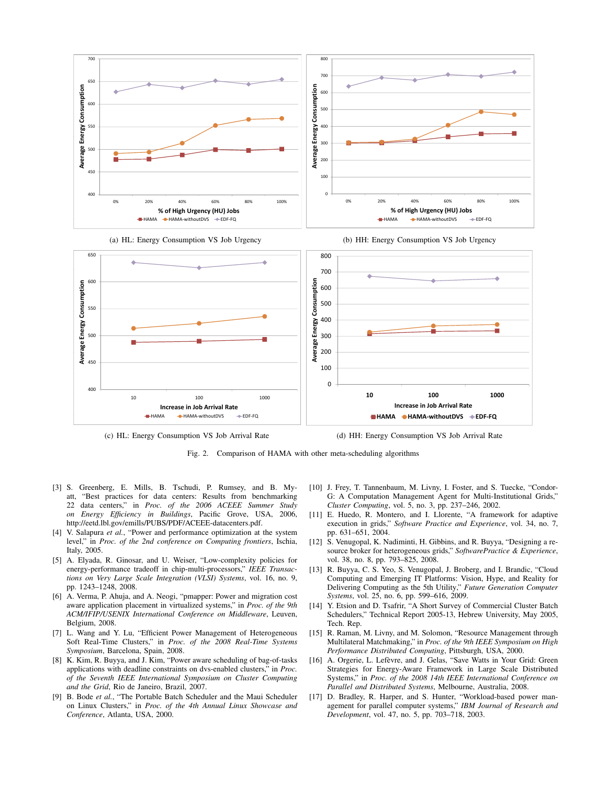



(c) HL: Energy Consumption VS Job Arrival Rate

(d) HH: Energy Consumption VS Job Arrival Rate

Fig. 2. Comparison of HAMA with other meta-scheduling algorithms

- [3] S. Greenberg, E. Mills, B. Tschudi, P. Rumsey, and B. Myatt, "Best practices for data centers: Results from benchmarking 22 data centers," in *Proc. of the 2006 ACEEE Summer Study on Energy Efficiency in Buildings*, Pacific Grove, USA, 2006, http://eetd.lbl.gov/emills/PUBS/PDF/ACEEE-datacenters.pdf.
- [4] V. Salapura *et al.*, "Power and performance optimization at the system level," in *Proc. of the 2nd conference on Computing frontiers*, Ischia, Italy, 2005.
- [5] A. Elyada, R. Ginosar, and U. Weiser, "Low-complexity policies for energy-performance tradeoff in chip-multi-processors," *IEEE Transactions on Very Large Scale Integration (VLSI) Systems*, vol. 16, no. 9, pp. 1243–1248, 2008.
- [6] A. Verma, P. Ahuja, and A. Neogi, "pmapper: Power and migration cost aware application placement in virtualized systems," in *Proc. of the 9th ACM/IFIP/USENIX International Conference on Middleware*, Leuven, Belgium, 2008.
- [7] L. Wang and Y. Lu, "Efficient Power Management of Heterogeneous Soft Real-Time Clusters," in *Proc. of the 2008 Real-Time Systems Symposium*, Barcelona, Spain, 2008.
- [8] K. Kim, R. Buyya, and J. Kim, "Power aware scheduling of bag-of-tasks applications with deadline constraints on dvs-enabled clusters," in *Proc. of the Seventh IEEE International Symposium on Cluster Computing and the Grid*, Rio de Janeiro, Brazil, 2007.
- [9] B. Bode *et al.*, "The Portable Batch Scheduler and the Maui Scheduler on Linux Clusters," in *Proc. of the 4th Annual Linux Showcase and Conference*, Atlanta, USA, 2000.
- [10] J. Frey, T. Tannenbaum, M. Livny, I. Foster, and S. Tuecke, "Condor-G: A Computation Management Agent for Multi-Institutional Grids," *Cluster Computing*, vol. 5, no. 3, pp. 237–246, 2002.
- [11] E. Huedo, R. Montero, and I. Llorente, "A framework for adaptive execution in grids," *Software Practice and Experience*, vol. 34, no. 7, pp. 631–651, 2004.
- [12] S. Venugopal, K. Nadiminti, H. Gibbins, and R. Buyya, "Designing a resource broker for heterogeneous grids," *SoftwarePractice & Experience*, vol. 38, no. 8, pp. 793–825, 2008.
- [13] R. Buyya, C. S. Yeo, S. Venugopal, J. Broberg, and I. Brandic, "Cloud Computing and Emerging IT Platforms: Vision, Hype, and Reality for Delivering Computing as the 5th Utility," *Future Generation Computer Systems*, vol. 25, no. 6, pp. 599–616, 2009.
- [14] Y. Etsion and D. Tsafrir, "A Short Survey of Commercial Cluster Batch Schedulers," Technical Report 2005-13, Hebrew University, May 2005, Tech. Rep.
- [15] R. Raman, M. Livny, and M. Solomon, "Resource Management through Multilateral Matchmaking," in *Proc. of the 9th IEEE Symposium on High Performance Distributed Computing*, Pittsburgh, USA, 2000.
- [16] A. Orgerie, L. Lefèvre, and J. Gelas, "Save Watts in Your Grid: Green Strategies for Energy-Aware Framework in Large Scale Distributed Systems," in *Proc. of the 2008 14th IEEE International Conference on Parallel and Distributed Systems*, Melbourne, Australia, 2008.
- [17] D. Bradley, R. Harper, and S. Hunter, "Workload-based power management for parallel computer systems," *IBM Journal of Research and Development*, vol. 47, no. 5, pp. 703–718, 2003.